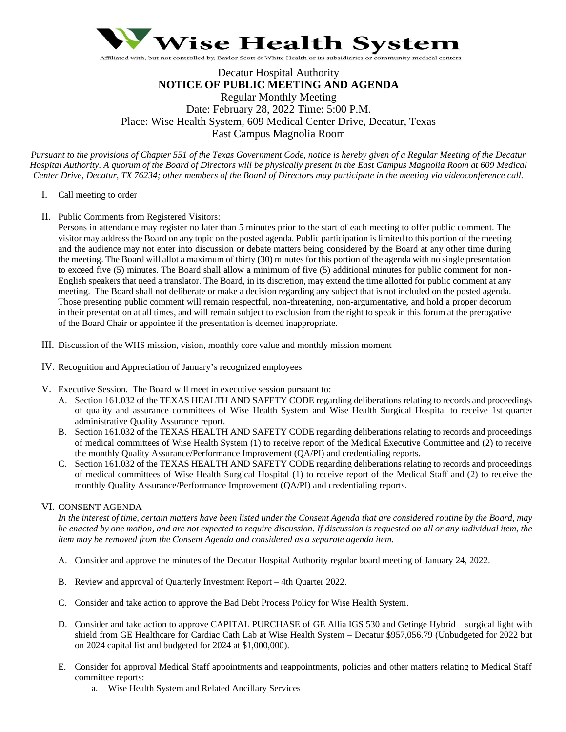

# Decatur Hospital Authority **NOTICE OF PUBLIC MEETING AND AGENDA** Regular Monthly Meeting Date: February 28, 2022 Time: 5:00 P.M. Place: Wise Health System, 609 Medical Center Drive, Decatur, Texas East Campus Magnolia Room

*Pursuant to the provisions of Chapter 551 of the Texas Government Code, notice is hereby given of a Regular Meeting of the Decatur Hospital Authority. A quorum of the Board of Directors will be physically present in the East Campus Magnolia Room at 609 Medical Center Drive, Decatur, TX 76234; other members of the Board of Directors may participate in the meeting via videoconference call.*

- I. Call meeting to order
- II. Public Comments from Registered Visitors:

Persons in attendance may register no later than 5 minutes prior to the start of each meeting to offer public comment. The visitor may address the Board on any topic on the posted agenda. Public participation is limited to this portion of the meeting and the audience may not enter into discussion or debate matters being considered by the Board at any other time during the meeting. The Board will allot a maximum of thirty (30) minutes for this portion of the agenda with no single presentation to exceed five (5) minutes. The Board shall allow a minimum of five (5) additional minutes for public comment for non-English speakers that need a translator. The Board, in its discretion, may extend the time allotted for public comment at any meeting. The Board shall not deliberate or make a decision regarding any subject that is not included on the posted agenda. Those presenting public comment will remain respectful, non-threatening, non-argumentative, and hold a proper decorum in their presentation at all times, and will remain subject to exclusion from the right to speak in this forum at the prerogative of the Board Chair or appointee if the presentation is deemed inappropriate.

- III. Discussion of the WHS mission, vision, monthly core value and monthly mission moment
- IV. Recognition and Appreciation of January's recognized employees
- V. Executive Session. The Board will meet in executive session pursuant to:
	- A. Section 161.032 of the TEXAS HEALTH AND SAFETY CODE regarding deliberations relating to records and proceedings of quality and assurance committees of Wise Health System and Wise Health Surgical Hospital to receive 1st quarter administrative Quality Assurance report.
	- B. Section 161.032 of the TEXAS HEALTH AND SAFETY CODE regarding deliberations relating to records and proceedings of medical committees of Wise Health System (1) to receive report of the Medical Executive Committee and (2) to receive the monthly Quality Assurance/Performance Improvement (QA/PI) and credentialing reports.
	- C. Section 161.032 of the TEXAS HEALTH AND SAFETY CODE regarding deliberations relating to records and proceedings of medical committees of Wise Health Surgical Hospital (1) to receive report of the Medical Staff and (2) to receive the monthly Quality Assurance/Performance Improvement (QA/PI) and credentialing reports.

## VI. CONSENT AGENDA

*In the interest of time, certain matters have been listed under the Consent Agenda that are considered routine by the Board, may be enacted by one motion, and are not expected to require discussion. If discussion is requested on all or any individual item, the item may be removed from the Consent Agenda and considered as a separate agenda item.* 

- A. Consider and approve the minutes of the Decatur Hospital Authority regular board meeting of January 24, 2022.
- B. Review and approval of Quarterly Investment Report 4th Quarter 2022.
- C. Consider and take action to approve the Bad Debt Process Policy for Wise Health System.
- D. Consider and take action to approve CAPITAL PURCHASE of GE Allia IGS 530 and Getinge Hybrid surgical light with shield from GE Healthcare for Cardiac Cath Lab at Wise Health System – Decatur \$957,056.79 (Unbudgeted for 2022 but on 2024 capital list and budgeted for 2024 at \$1,000,000).
- E. Consider for approval Medical Staff appointments and reappointments, policies and other matters relating to Medical Staff committee reports:
	- a. Wise Health System and Related Ancillary Services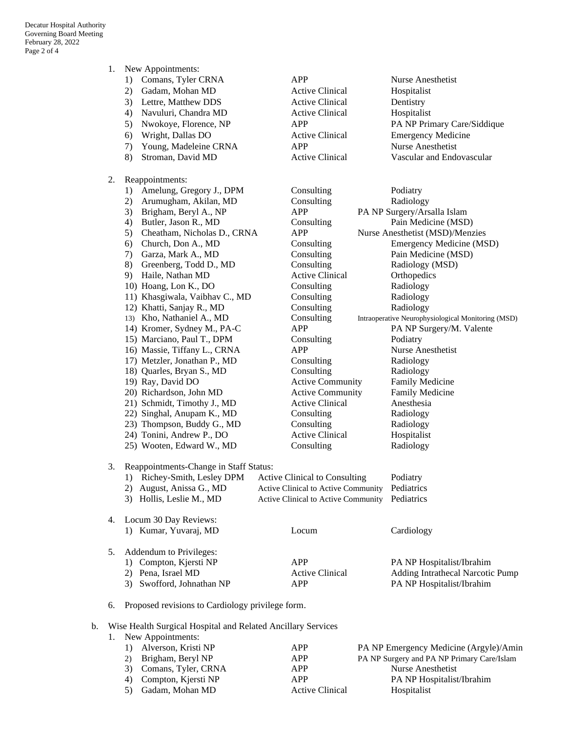- 1. New Appointments:
	- 1) Comans, Tyler CRNA APP Nurse Anesthetist
	- 2) Gadam, Mohan MD Active Clinical Hospitalist
	- 3) Lettre, Matthew DDS Active Clinical Dentistry
	- 4) Navuluri, Chandra MD Active Clinical Hospitalist
	-
	- 6) Wright, Dallas DO Active Clinical Emergency Medicine
	- 7) Young, Madeleine CRNA APP Nurse Anesthetist
	-
- 2. Reappointments:
	- 1) Amelung, Gregory J., DPM Consulting Podiatry
	-
	-
	-
	-
	-
	-
	-
	-
	-
	-
	-
	-
	-
	-
	-
	-
	-
	-
	-
	-
	-
	-
	-
	-
- 3. Reappointments-Change in Staff Status:

| 1) Richey-Smith, Lesley DPM | Active Clinical to Consulting                  | Podiatry |
|-----------------------------|------------------------------------------------|----------|
| 2) August, Anissa G., MD    | Active Clinical to Active Community Pediatrics |          |
| 3) Hollis, Leslie M., MD    | Active Clinical to Active Community Pediatrics |          |

## 4. Locum 30 Day Reviews: 1) Kumar, Yuvaraj, MD Locum Cardiology

| 5. Addendum to Privileges: |                        |                                  |
|----------------------------|------------------------|----------------------------------|
| 1) Compton, Kjersti NP     | APP                    | PA NP Hospitalist/Ibrahim        |
| 2) Pena, Israel MD         | <b>Active Clinical</b> | Adding Intrathecal Narcotic Pump |
| 3) Swofford, Johnathan NP  | APP                    | <b>PA NP Hospitalist/Ibrahim</b> |
|                            |                        |                                  |

#### 6. Proposed revisions to Cardiology privilege form.

#### b. Wise Health Surgical Hospital and Related Ancillary Services

| 1. New Appointments:   |                 |                                            |  |  |
|------------------------|-----------------|--------------------------------------------|--|--|
| 1) Alverson, Kristi NP | APP             | PA NP Emergency Medicine (Argyle)/Amin     |  |  |
| 2) Brigham, Beryl NP   | APP             | PA NP Surgery and PA NP Primary Care/Islam |  |  |
| 3) Comans, Tyler, CRNA | APP             | Nurse Anesthetist                          |  |  |
| 4) Compton, Kjersti NP | APP             | <b>PA NP Hospitalist/Ibrahim</b>           |  |  |
| Gadam, Mohan MD        | Active Clinical | Hospitalist                                |  |  |

5) Nwokoye, Florence, NP APP PA NP Primary Care/Siddique 8) Stroman, David MD Active Clinical Vascular and Endovascular

2) Arumugham, Akilan, MD Consulting Radiology 3) Brigham, Beryl A., NP APP PA NP Surgery/Arsalla Islam 4) Butler, Jason R., MD Consulting Pain Medicine (MSD) 5) Cheatham, Nicholas D., CRNA APP Nurse Anesthetist (MSD)/Menzies 6) Church, Don A., MD Consulting Emergency Medicine (MSD) 7) Garza, Mark A., MD Consulting Pain Medicine (MSD) 8) Greenberg, Todd D., MD Consulting Radiology (MSD) 9) Haile, Nathan MD Active Clinical Orthopedics 10) Hoang, Lon K., DO Consulting Radiology 11) Khasgiwala, Vaibhav C., MD Consulting Radiology 12) Khatti, Sanjay R., MD Consulting Radiology 13) Kho, Nathaniel A., MD Consulting Intraoperative Neurophysiological Monitoring (MSD) 14) Kromer, Sydney M., PA-C APP PA NP Surgery/M. Valente 15) Marciano, Paul T., DPM Consulting Podiatry 16) Massie, Tiffany L., CRNA APP Nurse Anesthetist 17) Metzler, Jonathan P., MD Consulting Radiology 18) Quarles, Bryan S., MD Consulting Radiology 19) Ray, David DO Active Community Family Medicine 20) Richardson, John MD **Active Community** Family Medicine 21) Schmidt, Timothy J., MD Active Clinical Anesthesia 22) Singhal, Anupam K., MD Consulting Radiology 23) Thompson, Buddy G., MD Consulting Radiology 24) Tonini, Andrew P., DO Active Clinical Hospitalist 25) Wooten, Edward W., MD Consulting Radiology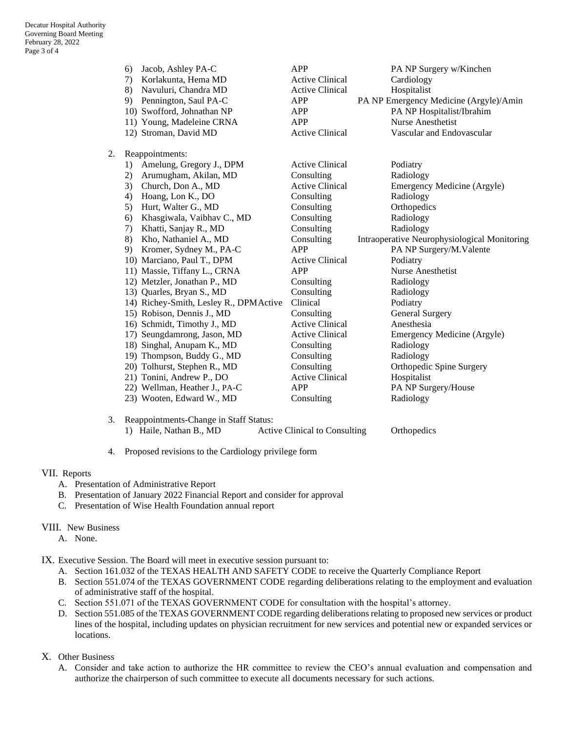|    | Jacob, Ashley PA-C<br>6)                | <b>APP</b>             | PA NP Surgery w/Kinchen                      |
|----|-----------------------------------------|------------------------|----------------------------------------------|
|    | Korlakunta, Hema MD<br>7)               | <b>Active Clinical</b> | Cardiology                                   |
|    | Navuluri, Chandra MD<br>8)              | <b>Active Clinical</b> | Hospitalist                                  |
|    | Pennington, Saul PA-C<br>9)             | <b>APP</b>             | PA NP Emergency Medicine (Argyle)/Amin       |
|    | 10) Swofford, Johnathan NP              | <b>APP</b>             | PA NP Hospitalist/Ibrahim                    |
|    | 11) Young, Madeleine CRNA               | <b>APP</b>             | <b>Nurse Anesthetist</b>                     |
|    | 12) Stroman, David MD                   | <b>Active Clinical</b> | Vascular and Endovascular                    |
| 2. | Reappointments:                         |                        |                                              |
|    | Amelung, Gregory J., DPM<br>1)          | <b>Active Clinical</b> | Podiatry                                     |
|    | 2)<br>Arumugham, Akilan, MD             | Consulting             | Radiology                                    |
|    | 3)<br>Church, Don A., MD                | <b>Active Clinical</b> | Emergency Medicine (Argyle)                  |
|    | Hoang, Lon K., DO<br>4)                 | Consulting             | Radiology                                    |
|    | 5)<br>Hurt, Walter G., MD               | Consulting             | Orthopedics                                  |
|    | Khasgiwala, Vaibhav C., MD<br>6)        | Consulting             | Radiology                                    |
|    | Khatti, Sanjay R., MD<br>7)             | Consulting             | Radiology                                    |
|    | Kho, Nathaniel A., MD<br>8)             | Consulting             | Intraoperative Neurophysiological Monitoring |
|    | 9)<br>Kromer, Sydney M., PA-C           | APP                    | PA NP Surgery/M.Valente                      |
|    | 10) Marciano, Paul T., DPM              | <b>Active Clinical</b> | Podiatry                                     |
|    | 11) Massie, Tiffany L., CRNA            | <b>APP</b>             | Nurse Anesthetist                            |
|    | 12) Metzler, Jonathan P., MD            | Consulting             | Radiology                                    |
|    | 13) Quarles, Bryan S., MD               | Consulting             | Radiology                                    |
|    | 14) Richey-Smith, Lesley R., DPM Active | Clinical               | Podiatry                                     |
|    | 15) Robison, Dennis J., MD              | Consulting             | <b>General Surgery</b>                       |
|    | 16) Schmidt, Timothy J., MD             | <b>Active Clinical</b> | Anesthesia                                   |
|    | 17) Seungdamrong, Jason, MD             | <b>Active Clinical</b> | Emergency Medicine (Argyle)                  |
|    | 18) Singhal, Anupam K., MD              | Consulting             | Radiology                                    |
|    | 19) Thompson, Buddy G., MD              | Consulting             | Radiology                                    |
|    | 20) Tolhurst, Stephen R., MD            | Consulting             | Orthopedic Spine Surgery                     |
|    | 21) Tonini, Andrew P., DO               | <b>Active Clinical</b> | Hospitalist                                  |
|    | 22) Wellman, Heather J., PA-C           | <b>APP</b>             | PA NP Surgery/House                          |
|    | 23) Wooten, Edward W., MD               | Consulting             | Radiology                                    |

- 3. Reappointments-Change in Staff Status: 1) Haile, Nathan B., MD Active Clinical to Consulting Orthopedics
- 4. Proposed revisions to the Cardiology privilege form

## VII. Reports

- A. Presentation of Administrative Report
- B. Presentation of January 2022 Financial Report and consider for approval
- C. Presentation of Wise Health Foundation annual report

### VIII. New Business

- A. None.
- IX. Executive Session. The Board will meet in executive session pursuant to:
	- A. Section 161.032 of the TEXAS HEALTH AND SAFETY CODE to receive the Quarterly Compliance Report
	- B. Section 551.074 of the TEXAS GOVERNMENT CODE regarding deliberations relating to the employment and evaluation of administrative staff of the hospital.
	- C. Section 551.071 of the TEXAS GOVERNMENT CODE for consultation with the hospital's attorney.
	- D. Section 551.085 of the TEXAS GOVERNMENT CODE regarding deliberations relating to proposed new services or product lines of the hospital, including updates on physician recruitment for new services and potential new or expanded services or locations.

X. Other Business

A. Consider and take action to authorize the HR committee to review the CEO's annual evaluation and compensation and authorize the chairperson of such committee to execute all documents necessary for such actions.